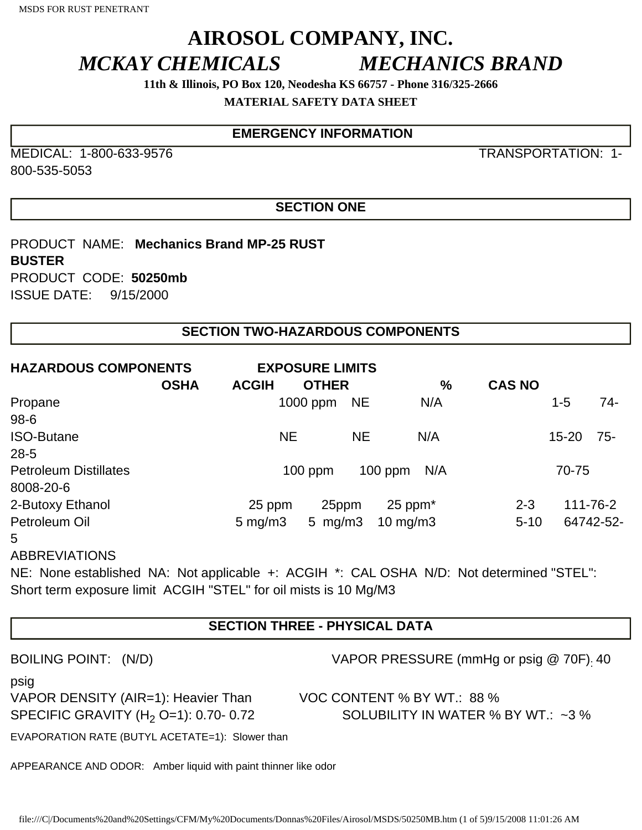# **AIROSOL COMPANY, INC.** *MCKAY CHEMICALS MECHANICS BRAND*

**11th & Illinois, PO Box 120, Neodesha KS 66757 - Phone 316/325-2666**

**MATERIAL SAFETY DATA SHEET** 

## **EMERGENCY INFORMATION**

MEDICAL: 1-800-633-9576 TRANSPORTATION: 1- 800-535-5053

### **SECTION ONE**

PRODUCT NAME: **Mechanics Brand MP-25 RUST BUSTER**  PRODUCT CODE: **50250mb**  ISSUE DATE: 9/15/2000

### **SECTION TWO-HAZARDOUS COMPONENTS**

| <b>HAZARDOUS COMPONENTS</b>  | <b>OSHA</b> | <b>ACGIH</b>           | <b>EXPOSURE LIMITS</b> | <b>OTHER</b> |           |              | $\%$ | <b>CAS NO</b> |           |           |
|------------------------------|-------------|------------------------|------------------------|--------------|-----------|--------------|------|---------------|-----------|-----------|
| Propane                      |             |                        | $1000$ ppm             |              | <b>NE</b> |              | N/A  |               | $1 - 5$   | $74-$     |
| $98 - 6$                     |             |                        |                        |              |           |              |      |               |           |           |
| <b>ISO-Butane</b>            |             |                        | <b>NE</b>              |              | <b>NE</b> |              | N/A  |               | $15 - 20$ | -75-      |
| $28 - 5$                     |             |                        |                        |              |           |              |      |               |           |           |
| <b>Petroleum Distillates</b> |             | $100$ ppm<br>$100$ ppm |                        |              |           | N/A          |      | 70-75         |           |           |
| 8008-20-6                    |             |                        |                        |              |           |              |      |               |           |           |
| 2-Butoxy Ethanol             |             | 25 ppm                 |                        | 25ppm        |           | $25$ ppm $*$ |      | $2 - 3$       |           | 111-76-2  |
| Petroleum Oil                |             | $5 \text{ mg/m}$ 3     |                        | 5 $mg/m3$    |           | 10 mg/m $3$  |      | $5 - 10$      |           | 64742-52- |
| 5                            |             |                        |                        |              |           |              |      |               |           |           |

ABBREVIATIONS

NE: None established NA: Not applicable +: ACGIH \*: CAL OSHA N/D: Not determined "STEL": Short term exposure limit ACGIH "STEL" for oil mists is 10 Mg/M3

## **SECTION THREE - PHYSICAL DATA**

| <b>BOILING POINT:</b> |  | (N/D) |
|-----------------------|--|-------|
|-----------------------|--|-------|

VAPOR PRESSURE (mmHg or psig  $@$  70F). 40

psig

VAPOR DENSITY (AIR=1): Heavier Than VOC CONTENT % BY WT.: 88 %

SPECIFIC GRAVITY (H<sub>2</sub> O=1): 0.70- 0.72 SOLUBILITY IN WATER % BY WT.: ~3 %

EVAPORATION RATE (BUTYL ACETATE=1): Slower than

APPEARANCE AND ODOR: Amber liquid with paint thinner like odor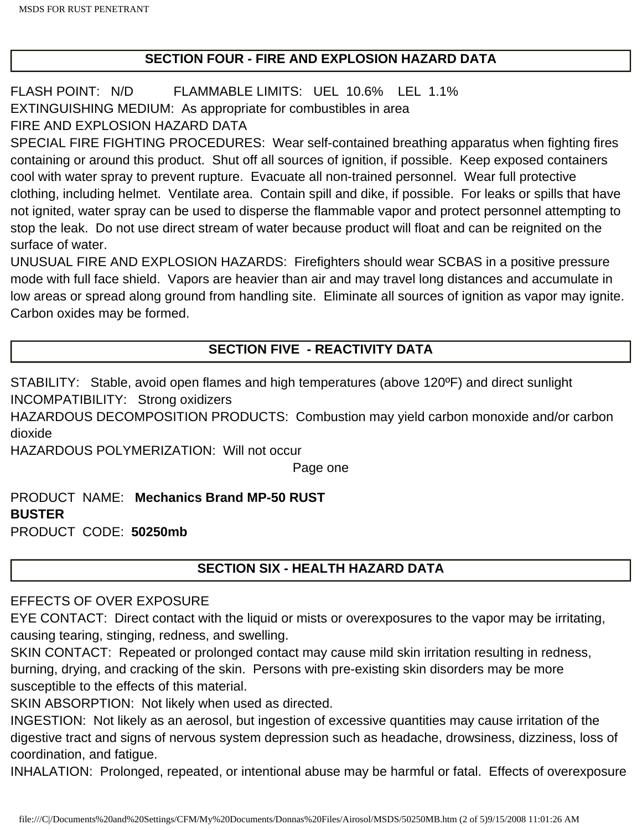### **SECTION FOUR - FIRE AND EXPLOSION HAZARD DATA**

FLASH POINT: N/D FLAMMABLE LIMITS: UEL 10.6% LEL 1.1% EXTINGUISHING MEDIUM: As appropriate for combustibles in area FIRE AND EXPLOSION HAZARD DATA

SPECIAL FIRE FIGHTING PROCEDURES: Wear self-contained breathing apparatus when fighting fires containing or around this product. Shut off all sources of ignition, if possible. Keep exposed containers cool with water spray to prevent rupture. Evacuate all non-trained personnel. Wear full protective clothing, including helmet. Ventilate area. Contain spill and dike, if possible. For leaks or spills that have not ignited, water spray can be used to disperse the flammable vapor and protect personnel attempting to stop the leak. Do not use direct stream of water because product will float and can be reignited on the surface of water.

UNUSUAL FIRE AND EXPLOSION HAZARDS: Firefighters should wear SCBAS in a positive pressure mode with full face shield. Vapors are heavier than air and may travel long distances and accumulate in low areas or spread along ground from handling site. Eliminate all sources of ignition as vapor may ignite. Carbon oxides may be formed.

## **SECTION FIVE - REACTIVITY DATA**

STABILITY: Stable, avoid open flames and high temperatures (above 120ºF) and direct sunlight INCOMPATIBILITY: Strong oxidizers

HAZARDOUS DECOMPOSITION PRODUCTS: Combustion may yield carbon monoxide and/or carbon dioxide

HAZARDOUS POLYMERIZATION: Will not occur

Page one

PRODUCT NAME: **Mechanics Brand MP-50 RUST BUSTER**  PRODUCT CODE: **50250mb**

## **SECTION SIX - HEALTH HAZARD DATA**

#### EFFECTS OF OVER EXPOSURE

EYE CONTACT: Direct contact with the liquid or mists or overexposures to the vapor may be irritating, causing tearing, stinging, redness, and swelling.

SKIN CONTACT: Repeated or prolonged contact may cause mild skin irritation resulting in redness, burning, drying, and cracking of the skin. Persons with pre-existing skin disorders may be more susceptible to the effects of this material.

SKIN ABSORPTION: Not likely when used as directed.

INGESTION: Not likely as an aerosol, but ingestion of excessive quantities may cause irritation of the digestive tract and signs of nervous system depression such as headache, drowsiness, dizziness, loss of coordination, and fatigue.

INHALATION: Prolonged, repeated, or intentional abuse may be harmful or fatal. Effects of overexposure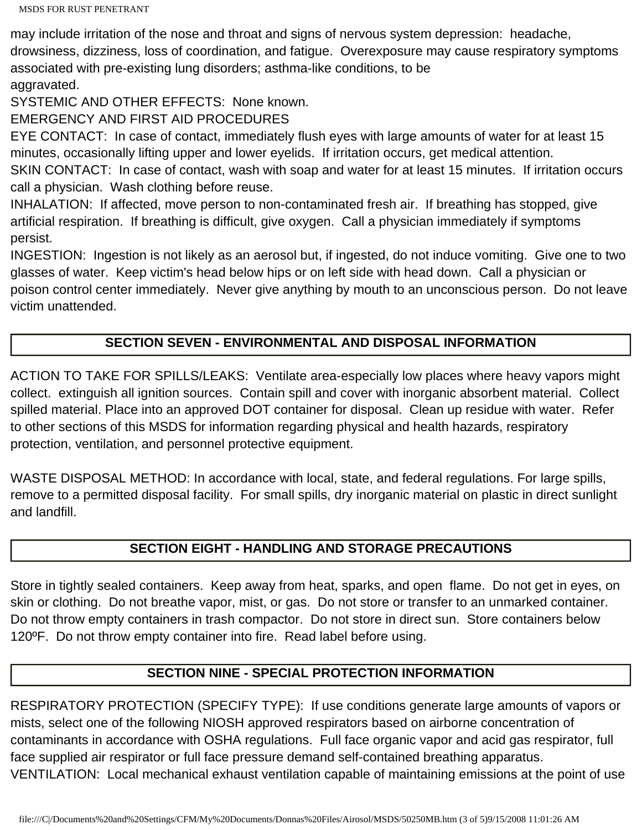may include irritation of the nose and throat and signs of nervous system depression: headache, drowsiness, dizziness, loss of coordination, and fatigue. Overexposure may cause respiratory symptoms associated with pre-existing lung disorders; asthma-like conditions, to be aggravated.

SYSTEMIC AND OTHER EFFECTS: None known.

EMERGENCY AND FIRST AID PROCEDURES

EYE CONTACT: In case of contact, immediately flush eyes with large amounts of water for at least 15 minutes, occasionally lifting upper and lower eyelids. If irritation occurs, get medical attention.

SKIN CONTACT: In case of contact, wash with soap and water for at least 15 minutes. If irritation occurs call a physician. Wash clothing before reuse.

INHALATION: If affected, move person to non-contaminated fresh air. If breathing has stopped, give artificial respiration. If breathing is difficult, give oxygen. Call a physician immediately if symptoms persist.

INGESTION: Ingestion is not likely as an aerosol but, if ingested, do not induce vomiting. Give one to two glasses of water. Keep victim's head below hips or on left side with head down. Call a physician or poison control center immediately. Never give anything by mouth to an unconscious person. Do not leave victim unattended.

## **SECTION SEVEN - ENVIRONMENTAL AND DISPOSAL INFORMATION**

ACTION TO TAKE FOR SPILLS/LEAKS: Ventilate area-especially low places where heavy vapors might collect. extinguish all ignition sources. Contain spill and cover with inorganic absorbent material. Collect spilled material. Place into an approved DOT container for disposal. Clean up residue with water. Refer to other sections of this MSDS for information regarding physical and health hazards, respiratory protection, ventilation, and personnel protective equipment.

WASTE DISPOSAL METHOD: In accordance with local, state, and federal regulations. For large spills, remove to a permitted disposal facility. For small spills, dry inorganic material on plastic in direct sunlight and landfill.

#### **SECTION EIGHT - HANDLING AND STORAGE PRECAUTIONS**

Store in tightly sealed containers. Keep away from heat, sparks, and open flame. Do not get in eyes, on skin or clothing. Do not breathe vapor, mist, or gas. Do not store or transfer to an unmarked container. Do not throw empty containers in trash compactor. Do not store in direct sun. Store containers below 120ºF. Do not throw empty container into fire. Read label before using.

#### **SECTION NINE - SPECIAL PROTECTION INFORMATION**

RESPIRATORY PROTECTION (SPECIFY TYPE): If use conditions generate large amounts of vapors or mists, select one of the following NIOSH approved respirators based on airborne concentration of contaminants in accordance with OSHA regulations. Full face organic vapor and acid gas respirator, full face supplied air respirator or full face pressure demand self-contained breathing apparatus. VENTILATION: Local mechanical exhaust ventilation capable of maintaining emissions at the point of use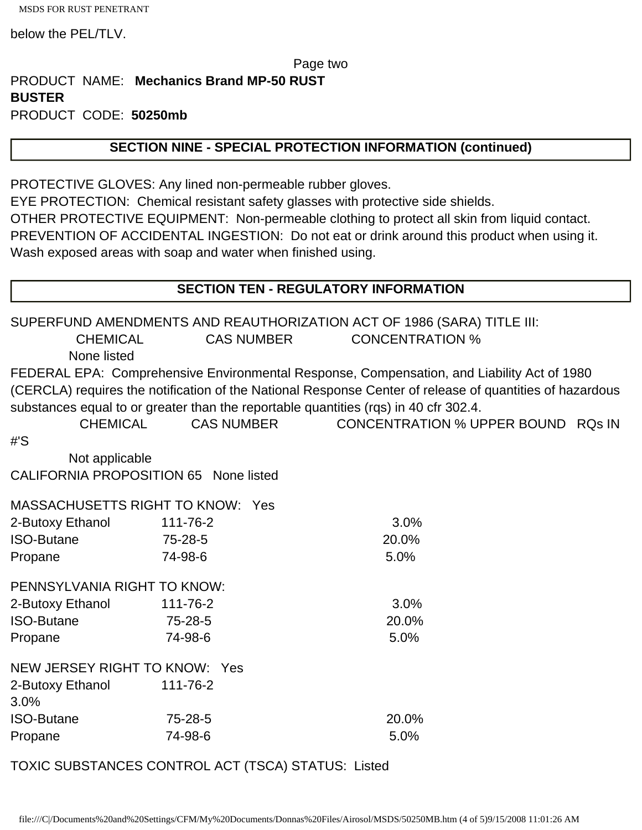MSDS FOR RUST PENETRANT

below the PEL/TLV.

#### Page two

PRODUCT NAME: **Mechanics Brand MP-50 RUST BUSTER**  PRODUCT CODE: **50250mb** 

#### **SECTION NINE - SPECIAL PROTECTION INFORMATION (continued)**

PROTECTIVE GLOVES: Any lined non-permeable rubber gloves.

EYE PROTECTION: Chemical resistant safety glasses with protective side shields. OTHER PROTECTIVE EQUIPMENT: Non-permeable clothing to protect all skin from liquid contact. PREVENTION OF ACCIDENTAL INGESTION: Do not eat or drink around this product when using it. Wash exposed areas with soap and water when finished using.

#### **SECTION TEN - REGULATORY INFORMATION**

SUPERFUND AMENDMENTS AND REAUTHORIZATION ACT OF 1986 (SARA) TITLE III: CHEMICAL CAS NUMBER CONCENTRATION % None listed FEDERAL EPA: Comprehensive Environmental Response, Compensation, and Liability Act of 1980 (CERCLA) requires the notification of the National Response Center of release of quantities of hazardous substances equal to or greater than the reportable quantities (rqs) in 40 cfr 302.4. CHEMICAL CAS NUMBER CONCENTRATION % UPPER BOUND RQs IN #'S Not applicable CALIFORNIA PROPOSITION 65 None listed MASSACHUSETTS RIGHT TO KNOW: Yes 2-Butoxy Ethanol 111-76-2 3.0% ISO-Butane 75-28-5 20.0% Propane 74-98-6 5.0% PENNSYLVANIA RIGHT TO KNOW: 2-Butoxy Ethanol 111-76-2 3.0% ISO-Butane 75-28-5 20.0% Propane 74-98-6 5.0% NEW JERSEY RIGHT TO KNOW: Yes 2-Butoxy Ethanol 111-76-2 3.0% ISO-Butane 75-28-5 20.0% Propane 74-98-6 5.0%

TOXIC SUBSTANCES CONTROL ACT (TSCA) STATUS: Listed